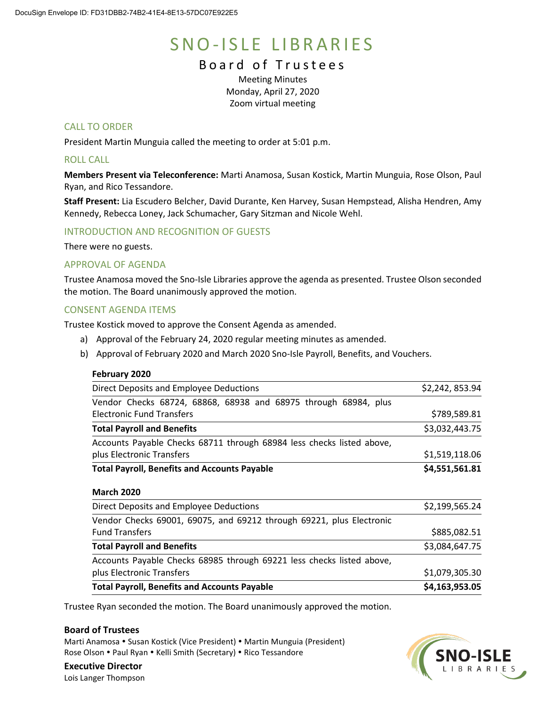# SNO-ISLE LIBRARIES

# Board of Trustees

Meeting Minutes Monday, April 27, 2020 Zoom virtual meeting

# CALL TO ORDER

President Martin Munguia called the meeting to order at 5:01 p.m.

# ROLL CALL

**Members Present via Teleconference:** Marti Anamosa, Susan Kostick, Martin Munguia, Rose Olson, Paul Ryan, and Rico Tessandore.

**Staff Present:** Lia Escudero Belcher, David Durante, Ken Harvey, Susan Hempstead, Alisha Hendren, Amy Kennedy, Rebecca Loney, Jack Schumacher, Gary Sitzman and Nicole Wehl.

# INTRODUCTION AND RECOGNITION OF GUESTS

There were no guests.

# APPROVAL OF AGENDA

Trustee Anamosa moved the Sno-Isle Libraries approve the agenda as presented. Trustee Olson seconded the motion. The Board unanimously approved the motion.

# CONSENT AGENDA ITEMS

Trustee Kostick moved to approve the Consent Agenda as amended.

- a) Approval of the February 24, 2020 regular meeting minutes as amended.
- b) Approval of February 2020 and March 2020 Sno-Isle Payroll, Benefits, and Vouchers.

#### **February 2020**

| Direct Deposits and Employee Deductions                               | \$2,242,853.94 |
|-----------------------------------------------------------------------|----------------|
| Vendor Checks 68724, 68868, 68938 and 68975 through 68984, plus       |                |
| <b>Electronic Fund Transfers</b>                                      | \$789,589.81   |
| <b>Total Payroll and Benefits</b>                                     | \$3,032,443.75 |
| Accounts Payable Checks 68711 through 68984 less checks listed above, |                |
| plus Electronic Transfers                                             | \$1,519,118.06 |
| <b>Total Payroll, Benefits and Accounts Payable</b>                   | \$4,551,561.81 |
| <b>March 2020</b>                                                     |                |
| Direct Deposits and Employee Deductions                               | \$2,199,565.24 |
| Vendor Checks 69001, 69075, and 69212 through 69221, plus Electronic  |                |
| <b>Fund Transfers</b>                                                 | \$885,082.51   |
| <b>Total Payroll and Benefits</b>                                     | \$3,084,647.75 |
| Accounts Payable Checks 68985 through 69221 less checks listed above, |                |

plus Electronic Transfers  $$1,079,305.30$ **Total Payroll, Benefits and Accounts Payable \$4,163,953.05**

Trustee Ryan seconded the motion. The Board unanimously approved the motion.

# **Board of Trustees**

Marti Anamosa • Susan Kostick (Vice President) • Martin Munguia (President) Rose Olson • Paul Ryan • Kelli Smith (Secretary) • Rico Tessandore



**Executive Director** Lois Langer Thompson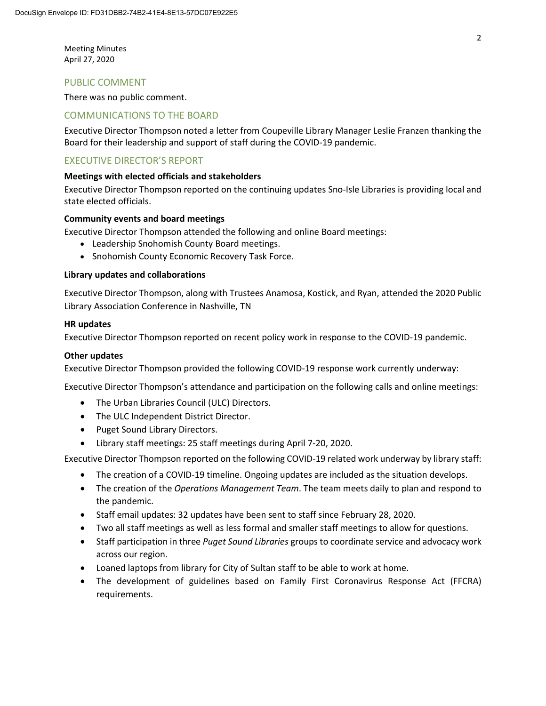Meeting Minutes April 27, 2020

# PUBLIC COMMENT

There was no public comment.

### COMMUNICATIONS TO THE BOARD

Executive Director Thompson noted a letter from Coupeville Library Manager Leslie Franzen thanking the Board for their leadership and support of staff during the COVID-19 pandemic.

# EXECUTIVE DIRECTOR'S REPORT

#### **Meetings with elected officials and stakeholders**

Executive Director Thompson reported on the continuing updates Sno-Isle Libraries is providing local and state elected officials.

#### **Community events and board meetings**

Executive Director Thompson attended the following and online Board meetings:

- Leadership Snohomish County Board meetings.
- Snohomish County Economic Recovery Task Force.

#### **Library updates and collaborations**

Executive Director Thompson, along with Trustees Anamosa, Kostick, and Ryan, attended the 2020 Public Library Association Conference in Nashville, TN

#### **HR updates**

Executive Director Thompson reported on recent policy work in response to the COVID-19 pandemic.

#### **Other updates**

Executive Director Thompson provided the following COVID-19 response work currently underway:

Executive Director Thompson's attendance and participation on the following calls and online meetings:

- The Urban Libraries Council (ULC) Directors.
- The ULC Independent District Director.
- Puget Sound Library Directors.
- Library staff meetings: 25 staff meetings during April 7-20, 2020.

Executive Director Thompson reported on the following COVID-19 related work underway by library staff:

- The creation of a COVID-19 timeline. Ongoing updates are included as the situation develops.
- The creation of the *Operations Management Team*. The team meets daily to plan and respond to the pandemic.
- Staff email updates: 32 updates have been sent to staff since February 28, 2020.
- Two all staff meetings as well as less formal and smaller staff meetings to allow for questions.
- Staff participation in three *Puget Sound Libraries* groups to coordinate service and advocacy work across our region.
- Loaned laptops from library for City of Sultan staff to be able to work at home.
- The development of guidelines based on Family First Coronavirus Response Act (FFCRA) requirements.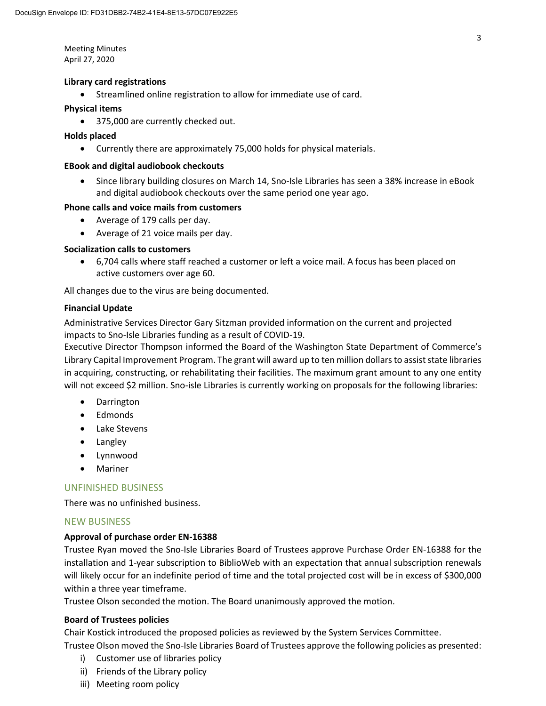Meeting Minutes April 27, 2020

#### **Library card registrations**

• Streamlined online registration to allow for immediate use of card.

#### **Physical items**

• 375,000 are currently checked out.

#### **Holds placed**

• Currently there are approximately 75,000 holds for physical materials.

#### **EBook and digital audiobook checkouts**

• Since library building closures on March 14, Sno-Isle Libraries has seen a 38% increase in eBook and digital audiobook checkouts over the same period one year ago.

#### **Phone calls and voice mails from customers**

- Average of 179 calls per day.
- Average of 21 voice mails per day.

#### **Socialization calls to customers**

• 6,704 calls where staff reached a customer or left a voice mail. A focus has been placed on active customers over age 60.

All changes due to the virus are being documented.

#### **Financial Update**

Administrative Services Director Gary Sitzman provided information on the current and projected impacts to Sno-Isle Libraries funding as a result of COVID-19.

Executive Director Thompson informed the Board of the Washington State Department of Commerce's Library Capital Improvement Program. The grant will award up to ten million dollars to assist state libraries in acquiring, constructing, or rehabilitating their facilities. The maximum grant amount to any one entity will not exceed \$2 million. Sno-isle Libraries is currently working on proposals for the following libraries:

- Darrington
- Edmonds
- Lake Stevens
- Langley
- Lynnwood
- Mariner

# UNFINISHED BUSINESS

There was no unfinished business.

# NEW BUSINESS

#### **Approval of purchase order EN-16388**

Trustee Ryan moved the Sno-Isle Libraries Board of Trustees approve Purchase Order EN-16388 for the installation and 1-year subscription to BiblioWeb with an expectation that annual subscription renewals will likely occur for an indefinite period of time and the total projected cost will be in excess of \$300,000 within a three year timeframe.

Trustee Olson seconded the motion. The Board unanimously approved the motion.

#### **Board of Trustees policies**

Chair Kostick introduced the proposed policies as reviewed by the System Services Committee.

Trustee Olson moved the Sno-Isle Libraries Board of Trustees approve the following policies as presented:

- i) Customer use of libraries policy
- ii) Friends of the Library policy
- iii) Meeting room policy